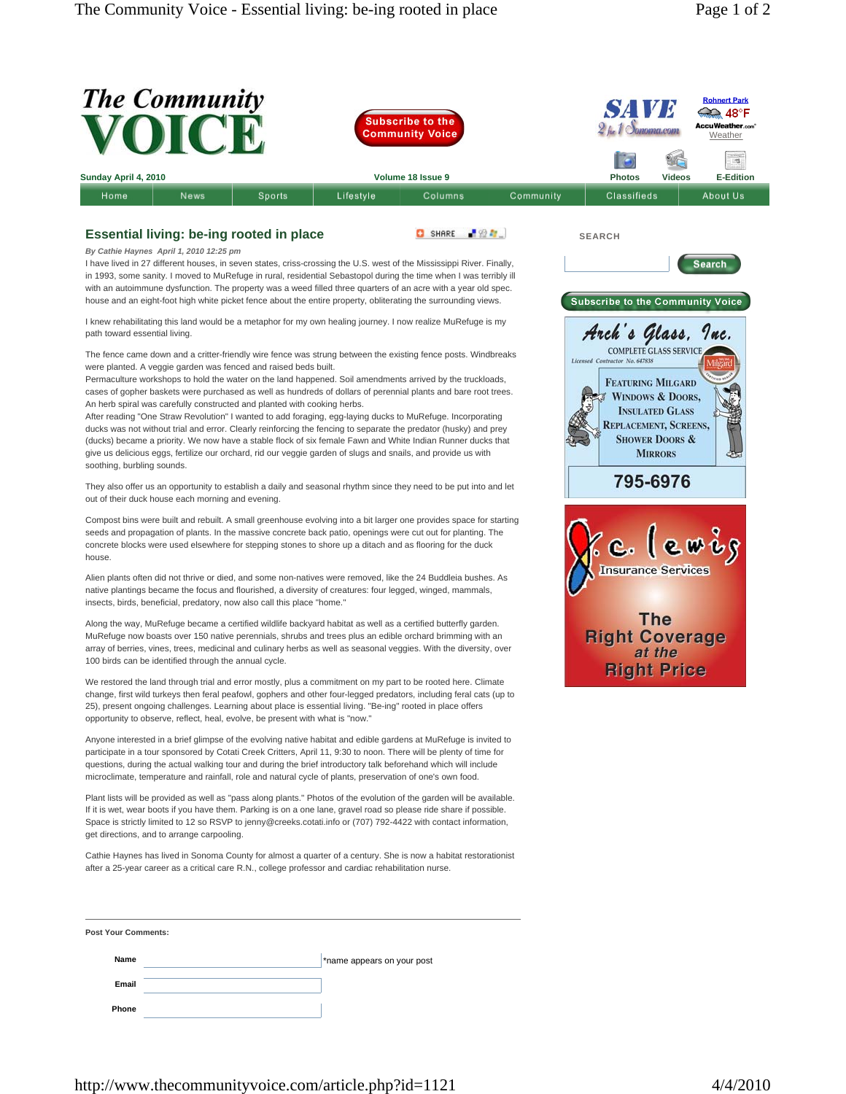